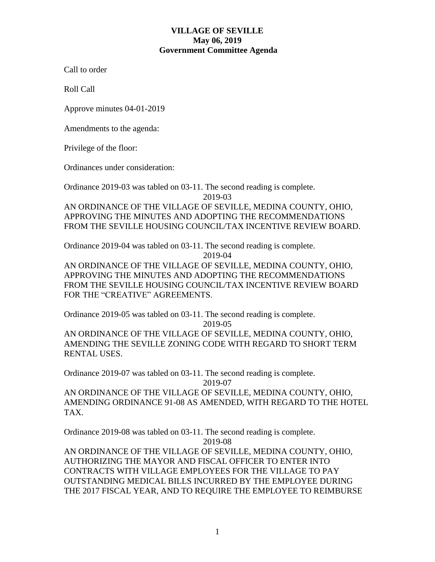# **VILLAGE OF SEVILLE May 06, 2019 Government Committee Agenda**

Call to order

Roll Call

Approve minutes 04-01-2019

Amendments to the agenda:

Privilege of the floor:

Ordinances under consideration:

Ordinance 2019-03 was tabled on 03-11. The second reading is complete. 2019-03

AN ORDINANCE OF THE VILLAGE OF SEVILLE, MEDINA COUNTY, OHIO, APPROVING THE MINUTES AND ADOPTING THE RECOMMENDATIONS FROM THE SEVILLE HOUSING COUNCIL/TAX INCENTIVE REVIEW BOARD.

Ordinance 2019-04 was tabled on 03-11. The second reading is complete.

2019-04

AN ORDINANCE OF THE VILLAGE OF SEVILLE, MEDINA COUNTY, OHIO, APPROVING THE MINUTES AND ADOPTING THE RECOMMENDATIONS FROM THE SEVILLE HOUSING COUNCIL/TAX INCENTIVE REVIEW BOARD FOR THE "CREATIVE" AGREEMENTS.

Ordinance 2019-05 was tabled on 03-11. The second reading is complete. 2019-05

AN ORDINANCE OF THE VILLAGE OF SEVILLE, MEDINA COUNTY, OHIO, AMENDING THE SEVILLE ZONING CODE WITH REGARD TO SHORT TERM RENTAL USES.

Ordinance 2019-07 was tabled on 03-11. The second reading is complete. 2019-07 AN ORDINANCE OF THE VILLAGE OF SEVILLE, MEDINA COUNTY, OHIO, AMENDING ORDINANCE 91-08 AS AMENDED, WITH REGARD TO THE HOTEL TAX.

Ordinance 2019-08 was tabled on 03-11. The second reading is complete. 2019-08

AN ORDINANCE OF THE VILLAGE OF SEVILLE, MEDINA COUNTY, OHIO, AUTHORIZING THE MAYOR AND FISCAL OFFICER TO ENTER INTO CONTRACTS WITH VILLAGE EMPLOYEES FOR THE VILLAGE TO PAY OUTSTANDING MEDICAL BILLS INCURRED BY THE EMPLOYEE DURING THE 2017 FISCAL YEAR, AND TO REQUIRE THE EMPLOYEE TO REIMBURSE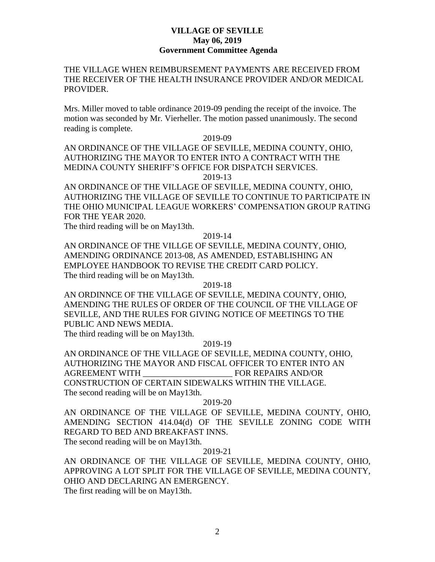### **VILLAGE OF SEVILLE May 06, 2019 Government Committee Agenda**

# THE VILLAGE WHEN REIMBURSEMENT PAYMENTS ARE RECEIVED FROM THE RECEIVER OF THE HEALTH INSURANCE PROVIDER AND/OR MEDICAL PROVIDER.

Mrs. Miller moved to table ordinance 2019-09 pending the receipt of the invoice. The motion was seconded by Mr. Vierheller. The motion passed unanimously. The second reading is complete.

2019-09

AN ORDINANCE OF THE VILLAGE OF SEVILLE, MEDINA COUNTY, OHIO, AUTHORIZING THE MAYOR TO ENTER INTO A CONTRACT WITH THE MEDINA COUNTY SHERIFF'S OFFICE FOR DISPATCH SERVICES. 2019-13

AN ORDINANCE OF THE VILLAGE OF SEVILLE, MEDINA COUNTY, OHIO, AUTHORIZING THE VILLAGE OF SEVILLE TO CONTINUE TO PARTICIPATE IN THE OHIO MUNICIPAL LEAGUE WORKERS' COMPENSATION GROUP RATING FOR THE YEAR 2020.

The third reading will be on May13th.

#### 2019-14

AN ORDINANCE OF THE VILLGE OF SEVILLE, MEDINA COUNTY, OHIO, AMENDING ORDINANCE 2013-08, AS AMENDED, ESTABLISHING AN EMPLOYEE HANDBOOK TO REVISE THE CREDIT CARD POLICY. The third reading will be on May13th.

#### 2019-18

AN ORDINNCE OF THE VILLAGE OF SEVILLE, MEDINA COUNTY, OHIO, AMENDING THE RULES OF ORDER OF THE COUNCIL OF THE VILLAGE OF SEVILLE, AND THE RULES FOR GIVING NOTICE OF MEETINGS TO THE PUBLIC AND NEWS MEDIA.

The third reading will be on May13th.

2019-19

AN ORDINANCE OF THE VILLAGE OF SEVILLE, MEDINA COUNTY, OHIO, AUTHORIZING THE MAYOR AND FISCAL OFFICER TO ENTER INTO AN AGREEMENT WITH FOR REPAIRS AND/OR CONSTRUCTION OF CERTAIN SIDEWALKS WITHIN THE VILLAGE. The second reading will be on May13th.

#### 2019-20

AN ORDINANCE OF THE VILLAGE OF SEVILLE, MEDINA COUNTY, OHIO, AMENDING SECTION 414.04(d) OF THE SEVILLE ZONING CODE WITH REGARD TO BED AND BREAKFAST INNS. The second reading will be on May13th.

# 2019-21

AN ORDINANCE OF THE VILLAGE OF SEVILLE, MEDINA COUNTY, OHIO, APPROVING A LOT SPLIT FOR THE VILLAGE OF SEVILLE, MEDINA COUNTY, OHIO AND DECLARING AN EMERGENCY.

The first reading will be on May13th.